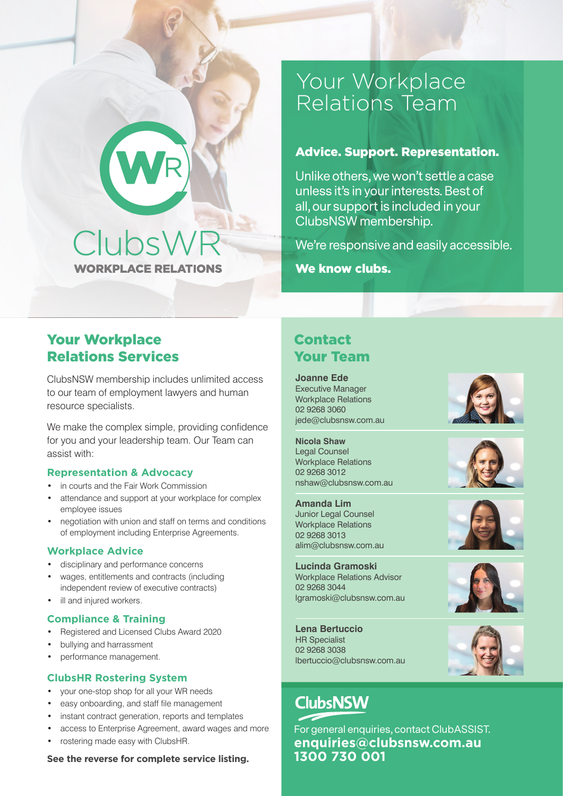# Your Workplace Relations Team

## Advice. Support. Representation.

Unlike others, we won't settle a case unless it's in your interests. Best of all, our support is included in your ClubsNSW membership.

We're responsive and easily accessible.

We know clubs.

## Your Workplace Relations Services

ClubsNSW membership includes unlimited access to our team of employment lawyers and human resource specialists.

ClubsWR

**WORKPLACE RELATIONS** 

We make the complex simple, providing confidence for you and your leadership team. Our Team can assist with:

## **Representation & Advocacy**

- in courts and the Fair Work Commission
- attendance and support at your workplace for complex employee issues
- negotiation with union and staff on terms and conditions of employment including Enterprise Agreements.

#### **Workplace Advice**

- disciplinary and performance concerns
- wages, entitlements and contracts (including independent review of executive contracts)
- ill and injured workers.

#### **Compliance & Training**

- Registered and Licensed Clubs Award 2020
- bullying and harrassment
- performance management.

#### **ClubsHR Rostering System**

- your one-stop shop for all your WR needs
- easy onboarding, and staff file management
- instant contract generation, reports and templates
- access to Enterprise Agreement, award wages and more
- rostering made easy with ClubsHR.

#### **See the reverse for complete service listing.**

## Contact Your Team

**Joanne Ede** Executive Manager Workplace Relations 02 9268 3060 jede@clubsnsw.com.au

**Nicola Shaw** Legal Counsel Workplace Relations 02 9268 3012 nshaw@clubsnsw.com.au

**Amanda Lim** Junior Legal Counsel Workplace Relations 02 9268 3013 alim@clubsnsw.com.au

**Lucinda Gramoski** Workplace Relations Advisor 02 9268 3044 lgramoski@clubsnsw.com.au

**Lena Bertuccio** HR Specialist 02 9268 3038 lbertuccio@clubsnsw.com.au

# **ClubsNSW**

For general enquiries, contact ClubASSIST. **enquiries@clubsnsw.com.au 1300 730 001**